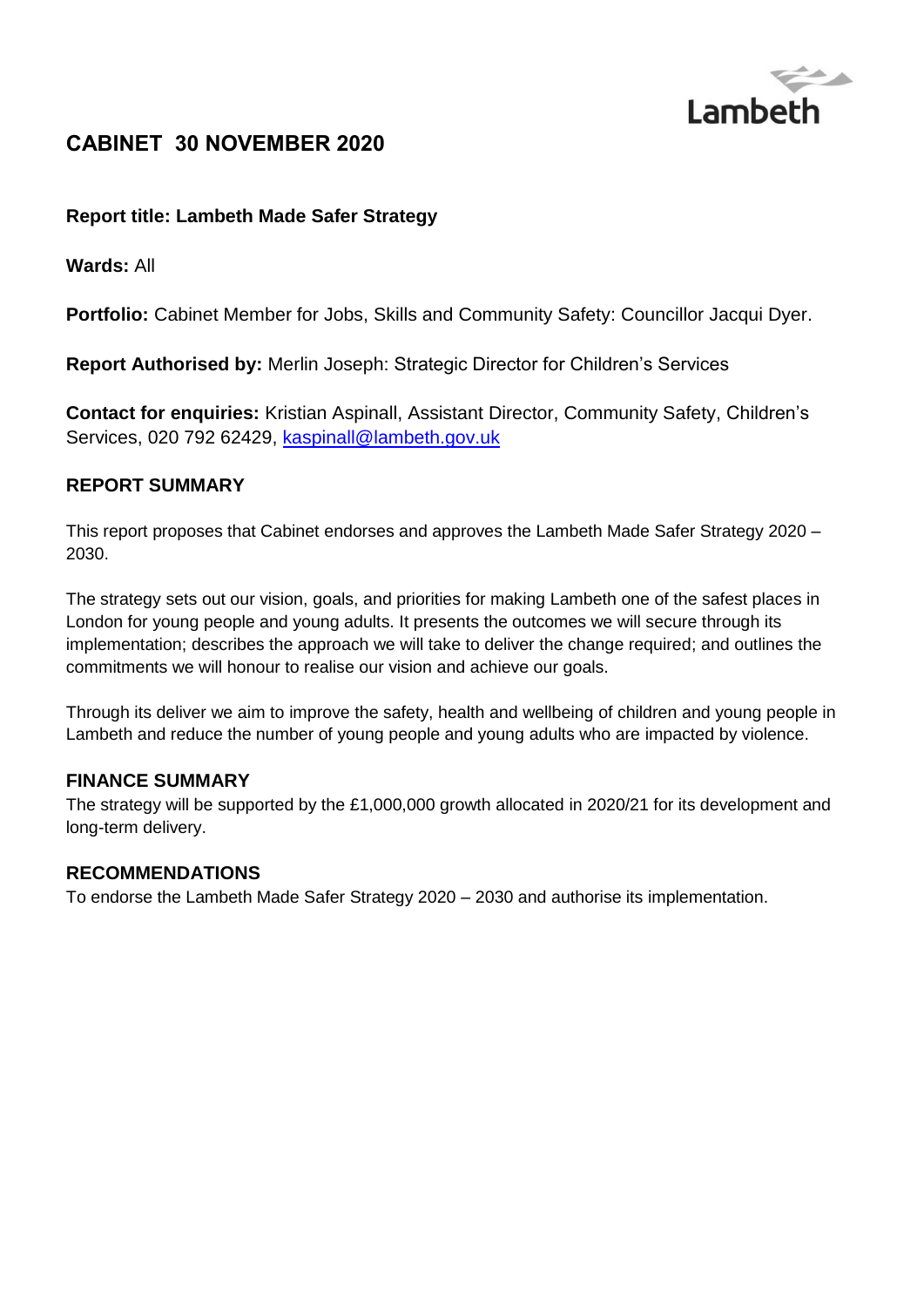

# **CABINET 30 NOVEMBER 2020**

## **Report title: Lambeth Made Safer Strategy**

**Wards:** All

**Portfolio:** Cabinet Member for Jobs, Skills and Community Safety: Councillor Jacqui Dyer.

**Report Authorised by:** Merlin Joseph: Strategic Director for Children's Services

**Contact for enquiries:** Kristian Aspinall, Assistant Director, Community Safety, Children's Services, 020 792 62429, [kaspinall@lambeth.gov.uk](mailto:kaspinall@lambeth.gov.uk)

### **REPORT SUMMARY**

This report proposes that Cabinet endorses and approves the Lambeth Made Safer Strategy 2020 – 2030.

The strategy sets out our vision, goals, and priorities for making Lambeth one of the safest places in London for young people and young adults. It presents the outcomes we will secure through its implementation; describes the approach we will take to deliver the change required; and outlines the commitments we will honour to realise our vision and achieve our goals.

Through its deliver we aim to improve the safety, health and wellbeing of children and young people in Lambeth and reduce the number of young people and young adults who are impacted by violence.

### **FINANCE SUMMARY**

The strategy will be supported by the £1,000,000 growth allocated in 2020/21 for its development and long-term delivery.

### **RECOMMENDATIONS**

To endorse the Lambeth Made Safer Strategy 2020 – 2030 and authorise its implementation.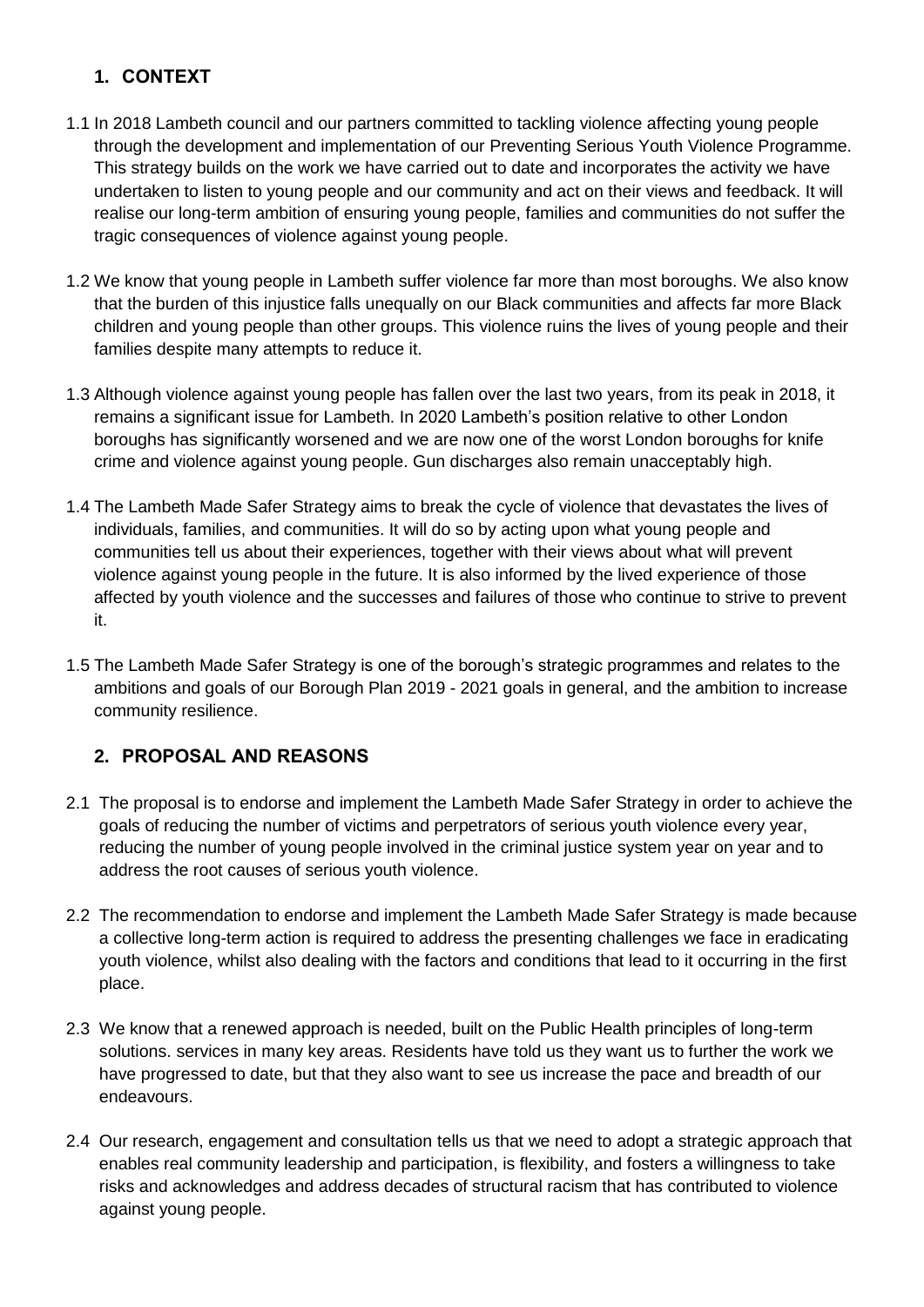# **1. CONTEXT**

- 1.1 In 2018 Lambeth council and our partners committed to tackling violence affecting young people through the development and implementation of our Preventing Serious Youth Violence Programme. This strategy builds on the work we have carried out to date and incorporates the activity we have undertaken to listen to young people and our community and act on their views and feedback. It will realise our long-term ambition of ensuring young people, families and communities do not suffer the tragic consequences of violence against young people.
- 1.2 We know that young people in Lambeth suffer violence far more than most boroughs. We also know that the burden of this injustice falls unequally on our Black communities and affects far more Black children and young people than other groups. This violence ruins the lives of young people and their families despite many attempts to reduce it.
- 1.3 Although violence against young people has fallen over the last two years, from its peak in 2018, it remains a significant issue for Lambeth. In 2020 Lambeth's position relative to other London boroughs has significantly worsened and we are now one of the worst London boroughs for knife crime and violence against young people. Gun discharges also remain unacceptably high.
- 1.4 The Lambeth Made Safer Strategy aims to break the cycle of violence that devastates the lives of individuals, families, and communities. It will do so by acting upon what young people and communities tell us about their experiences, together with their views about what will prevent violence against young people in the future. It is also informed by the lived experience of those affected by youth violence and the successes and failures of those who continue to strive to prevent it.
- 1.5 The Lambeth Made Safer Strategy is one of the borough's strategic programmes and relates to the ambitions and goals of our Borough Plan 2019 - 2021 goals in general, and the ambition to increase community resilience.

# **2. PROPOSAL AND REASONS**

- 2.1 The proposal is to endorse and implement the Lambeth Made Safer Strategy in order to achieve the goals of reducing the number of victims and perpetrators of serious youth violence every year, reducing the number of young people involved in the criminal justice system year on year and to address the root causes of serious youth violence.
- 2.2 The recommendation to endorse and implement the Lambeth Made Safer Strategy is made because a collective long-term action is required to address the presenting challenges we face in eradicating youth violence, whilst also dealing with the factors and conditions that lead to it occurring in the first place.
- 2.3 We know that a renewed approach is needed, built on the Public Health principles of long-term solutions. services in many key areas. Residents have told us they want us to further the work we have progressed to date, but that they also want to see us increase the pace and breadth of our endeavours.
- 2.4 Our research, engagement and consultation tells us that we need to adopt a strategic approach that enables real community leadership and participation, is flexibility, and fosters a willingness to take risks and acknowledges and address decades of structural racism that has contributed to violence against young people.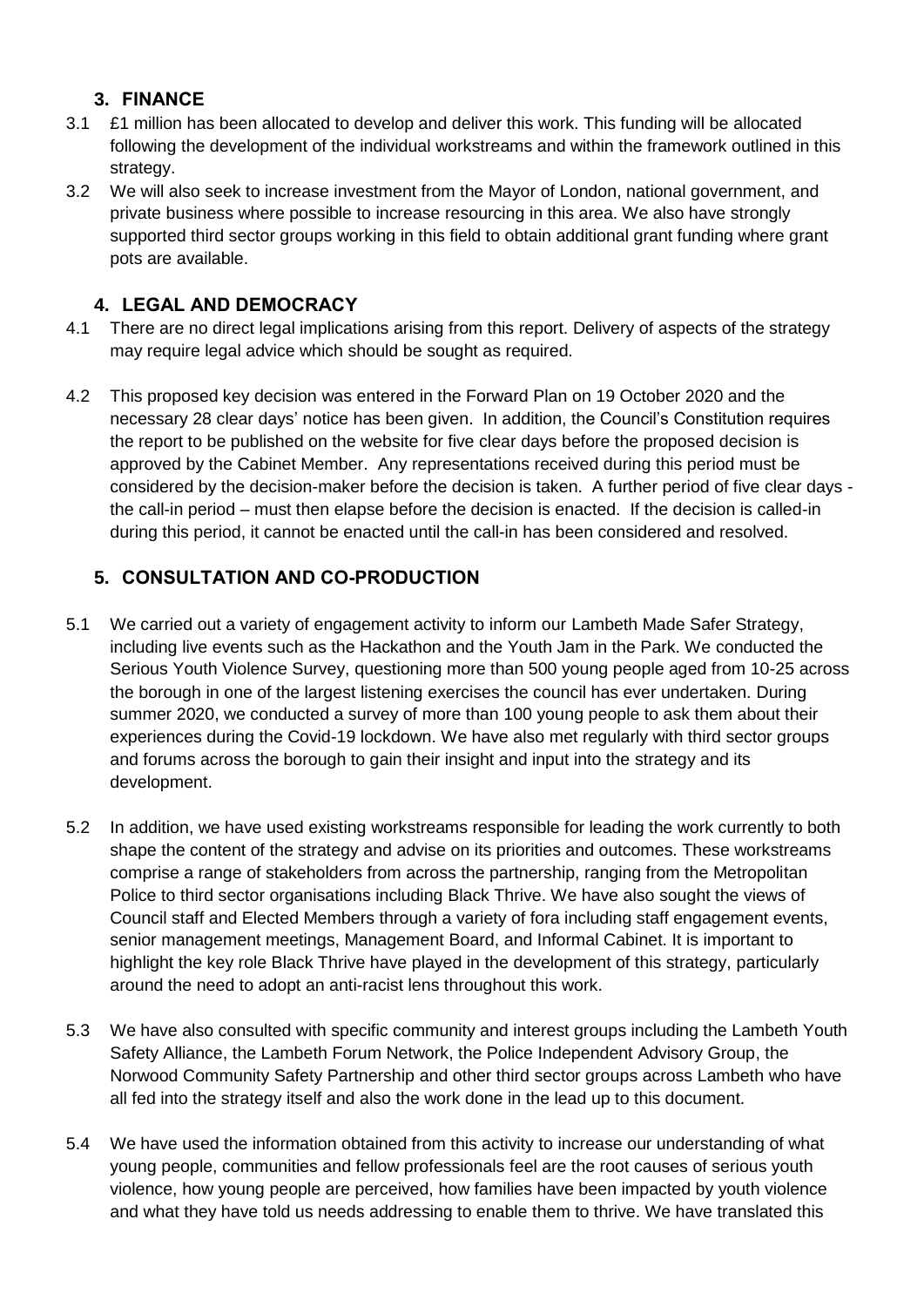## **3. FINANCE**

- 3.1 £1 million has been allocated to develop and deliver this work. This funding will be allocated following the development of the individual workstreams and within the framework outlined in this strategy.
- 3.2 We will also seek to increase investment from the Mayor of London, national government, and private business where possible to increase resourcing in this area. We also have strongly supported third sector groups working in this field to obtain additional grant funding where grant pots are available.

# **4. LEGAL AND DEMOCRACY**

- 4.1 There are no direct legal implications arising from this report. Delivery of aspects of the strategy may require legal advice which should be sought as required.
- 4.2 This proposed key decision was entered in the Forward Plan on 19 October 2020 and the necessary 28 clear days' notice has been given. In addition, the Council's Constitution requires the report to be published on the website for five clear days before the proposed decision is approved by the Cabinet Member. Any representations received during this period must be considered by the decision-maker before the decision is taken. A further period of five clear days the call-in period – must then elapse before the decision is enacted. If the decision is called-in during this period, it cannot be enacted until the call-in has been considered and resolved.

# **5. CONSULTATION AND CO-PRODUCTION**

- 5.1 We carried out a variety of engagement activity to inform our Lambeth Made Safer Strategy, including live events such as the Hackathon and the Youth Jam in the Park. We conducted the Serious Youth Violence Survey, questioning more than 500 young people aged from 10-25 across the borough in one of the largest listening exercises the council has ever undertaken. During summer 2020, we conducted a survey of more than 100 young people to ask them about their experiences during the Covid-19 lockdown. We have also met regularly with third sector groups and forums across the borough to gain their insight and input into the strategy and its development.
- 5.2 In addition, we have used existing workstreams responsible for leading the work currently to both shape the content of the strategy and advise on its priorities and outcomes. These workstreams comprise a range of stakeholders from across the partnership, ranging from the Metropolitan Police to third sector organisations including Black Thrive. We have also sought the views of Council staff and Elected Members through a variety of fora including staff engagement events, senior management meetings, Management Board, and Informal Cabinet. It is important to highlight the key role Black Thrive have played in the development of this strategy, particularly around the need to adopt an anti-racist lens throughout this work.
- 5.3 We have also consulted with specific community and interest groups including the Lambeth Youth Safety Alliance, the Lambeth Forum Network, the Police Independent Advisory Group, the Norwood Community Safety Partnership and other third sector groups across Lambeth who have all fed into the strategy itself and also the work done in the lead up to this document.
- 5.4 We have used the information obtained from this activity to increase our understanding of what young people, communities and fellow professionals feel are the root causes of serious youth violence, how young people are perceived, how families have been impacted by youth violence and what they have told us needs addressing to enable them to thrive. We have translated this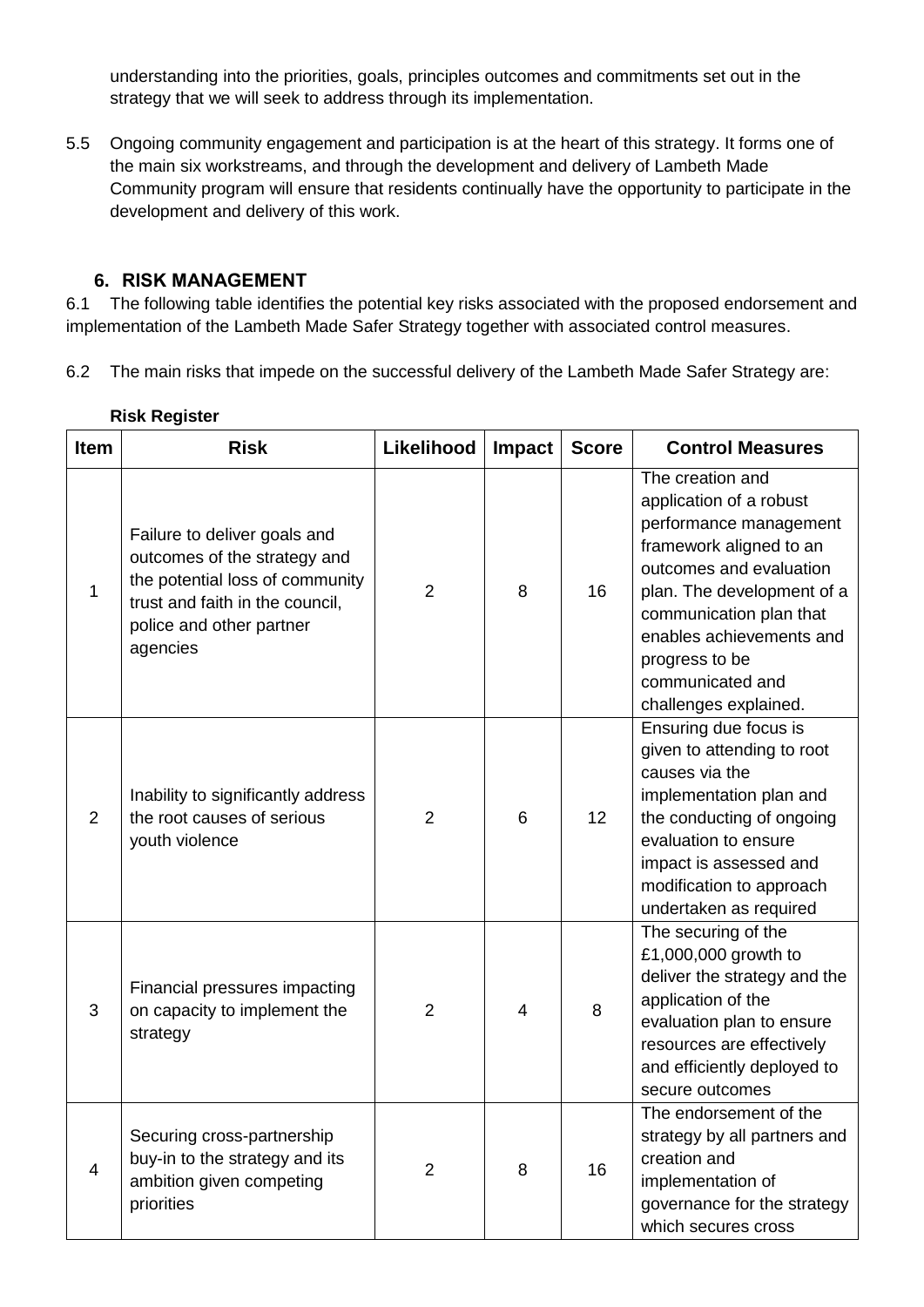understanding into the priorities, goals, principles outcomes and commitments set out in the strategy that we will seek to address through its implementation.

5.5 Ongoing community engagement and participation is at the heart of this strategy. It forms one of the main six workstreams, and through the development and delivery of Lambeth Made Community program will ensure that residents continually have the opportunity to participate in the development and delivery of this work.

## **6. RISK MANAGEMENT**

6.1 The following table identifies the potential key risks associated with the proposed endorsement and implementation of the Lambeth Made Safer Strategy together with associated control measures.

6.2 The main risks that impede on the successful delivery of the Lambeth Made Safer Strategy are:

| <b>Item</b>    | <b>Risk</b>                                                                                                                                                                | Likelihood     | Impact | <b>Score</b> | <b>Control Measures</b>                                                                                                                                                                                                                                                         |
|----------------|----------------------------------------------------------------------------------------------------------------------------------------------------------------------------|----------------|--------|--------------|---------------------------------------------------------------------------------------------------------------------------------------------------------------------------------------------------------------------------------------------------------------------------------|
| 1              | Failure to deliver goals and<br>outcomes of the strategy and<br>the potential loss of community<br>trust and faith in the council,<br>police and other partner<br>agencies | $\overline{2}$ | 8      | 16           | The creation and<br>application of a robust<br>performance management<br>framework aligned to an<br>outcomes and evaluation<br>plan. The development of a<br>communication plan that<br>enables achievements and<br>progress to be<br>communicated and<br>challenges explained. |
| $\overline{2}$ | Inability to significantly address<br>the root causes of serious<br>youth violence                                                                                         | $\overline{2}$ | 6      | 12           | Ensuring due focus is<br>given to attending to root<br>causes via the<br>implementation plan and<br>the conducting of ongoing<br>evaluation to ensure<br>impact is assessed and<br>modification to approach<br>undertaken as required                                           |
| 3              | Financial pressures impacting<br>on capacity to implement the<br>strategy                                                                                                  | $\overline{2}$ | 4      | 8            | The securing of the<br>£1,000,000 growth to<br>deliver the strategy and the<br>application of the<br>evaluation plan to ensure<br>resources are effectively<br>and efficiently deployed to<br>secure outcomes                                                                   |
| 4              | Securing cross-partnership<br>buy-in to the strategy and its<br>ambition given competing<br>priorities                                                                     | $\overline{2}$ | 8      | 16           | The endorsement of the<br>strategy by all partners and<br>creation and<br>implementation of<br>governance for the strategy<br>which secures cross                                                                                                                               |

### **Risk Register**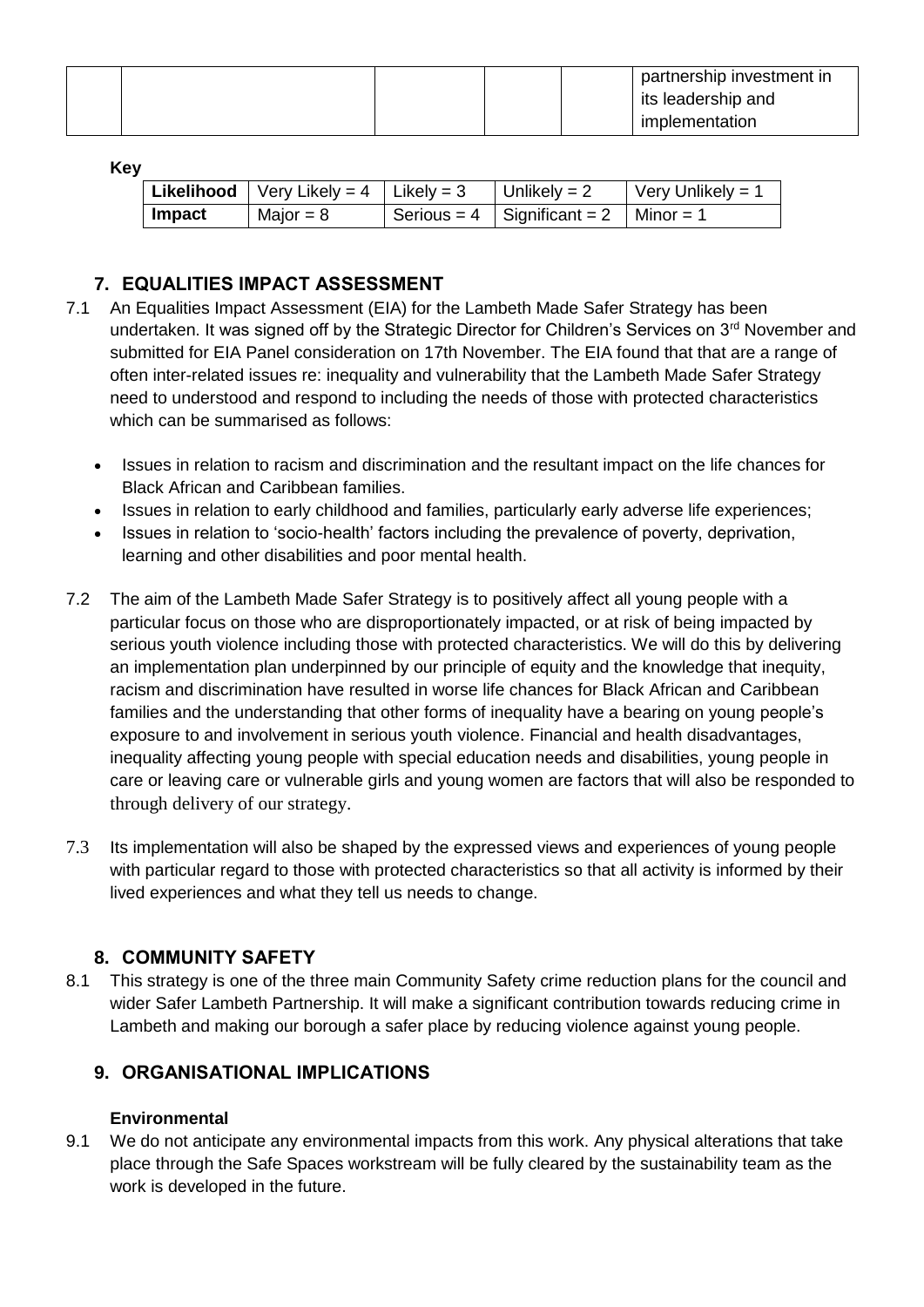|  |  | partnership investment in<br>its leadership and |
|--|--|-------------------------------------------------|
|  |  | implementation                                  |

**Key**

|                       | <b>Likelihood</b>   Very Likely = 4   Likely = 3 | Unlikely = $2$                                             | $\sqrt{\frac{1}{1}}$ Very Unlikely = 1 |
|-----------------------|--------------------------------------------------|------------------------------------------------------------|----------------------------------------|
| $\blacksquare$ Impact | Major = $8$                                      | $\mid$ Serious = 4 $\mid$ Significant = 2 $\mid$ Minor = 1 |                                        |

# **7. EQUALITIES IMPACT ASSESSMENT**

- 7.1 An Equalities Impact Assessment (EIA) for the Lambeth Made Safer Strategy has been undertaken. It was signed off by the Strategic Director for Children's Services on 3<sup>rd</sup> November and submitted for EIA Panel consideration on 17th November. The EIA found that that are a range of often inter-related issues re: inequality and vulnerability that the Lambeth Made Safer Strategy need to understood and respond to including the needs of those with protected characteristics which can be summarised as follows:
	- Issues in relation to racism and discrimination and the resultant impact on the life chances for Black African and Caribbean families.
	- Issues in relation to early childhood and families, particularly early adverse life experiences;
	- Issues in relation to 'socio-health' factors including the prevalence of poverty, deprivation, learning and other disabilities and poor mental health.
- 7.2 The aim of the Lambeth Made Safer Strategy is to positively affect all young people with a particular focus on those who are disproportionately impacted, or at risk of being impacted by serious youth violence including those with protected characteristics. We will do this by delivering an implementation plan underpinned by our principle of equity and the knowledge that inequity, racism and discrimination have resulted in worse life chances for Black African and Caribbean families and the understanding that other forms of inequality have a bearing on young people's exposure to and involvement in serious youth violence. Financial and health disadvantages, inequality affecting young people with special education needs and disabilities, young people in care or leaving care or vulnerable girls and young women are factors that will also be responded to through delivery of our strategy.
- 7.3 Its implementation will also be shaped by the expressed views and experiences of young people with particular regard to those with protected characteristics so that all activity is informed by their lived experiences and what they tell us needs to change.

## **8. COMMUNITY SAFETY**

8.1 This strategy is one of the three main Community Safety crime reduction plans for the council and wider Safer Lambeth Partnership. It will make a significant contribution towards reducing crime in Lambeth and making our borough a safer place by reducing violence against young people.

# **9. ORGANISATIONAL IMPLICATIONS**

## **Environmental**

9.1 We do not anticipate any environmental impacts from this work. Any physical alterations that take place through the Safe Spaces workstream will be fully cleared by the sustainability team as the work is developed in the future.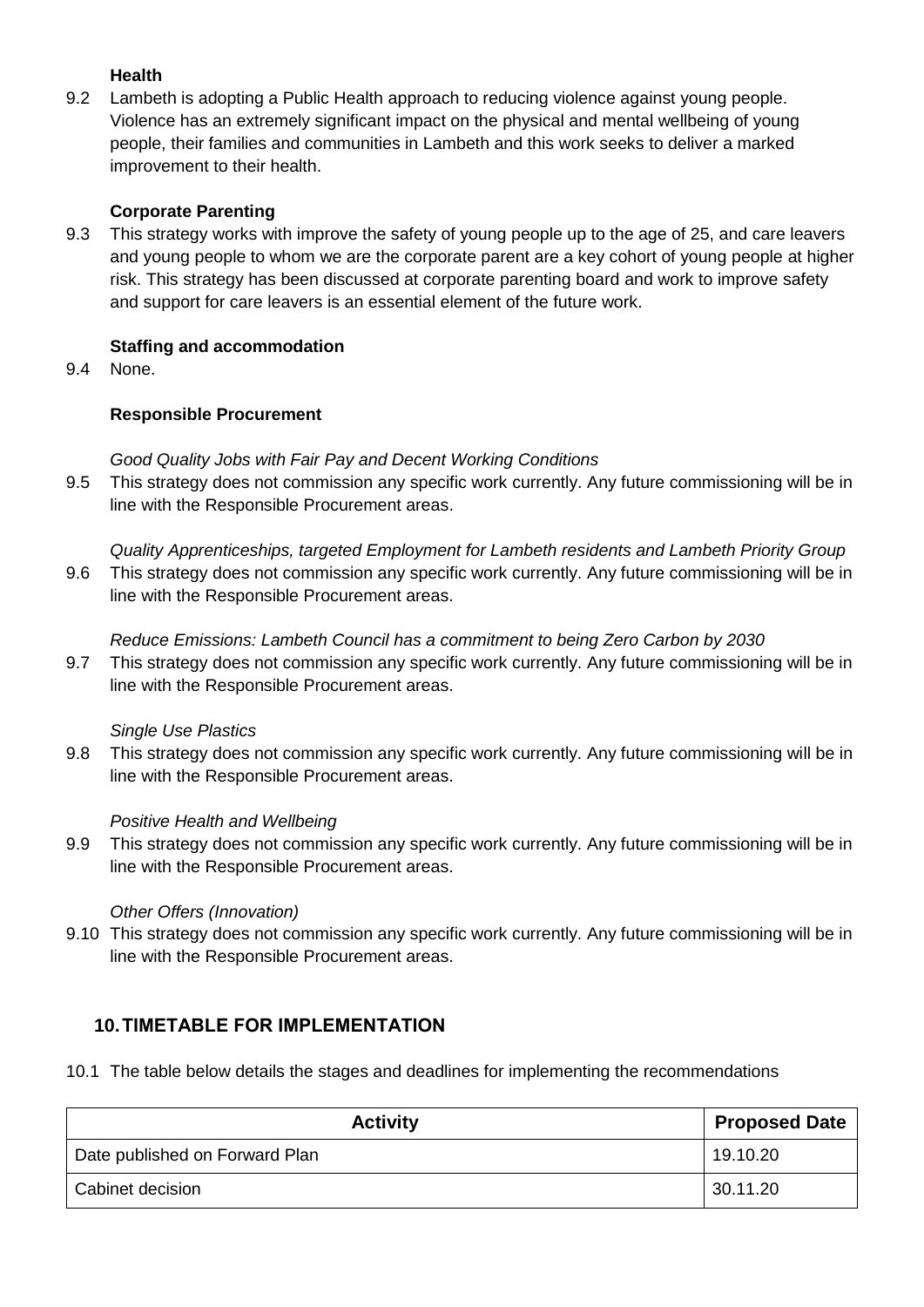### **Health**

9.2 Lambeth is adopting a Public Health approach to reducing violence against young people. Violence has an extremely significant impact on the physical and mental wellbeing of young people, their families and communities in Lambeth and this work seeks to deliver a marked improvement to their health.

### **Corporate Parenting**

9.3 This strategy works with improve the safety of young people up to the age of 25, and care leavers and young people to whom we are the corporate parent are a key cohort of young people at higher risk. This strategy has been discussed at corporate parenting board and work to improve safety and support for care leavers is an essential element of the future work.

### **Staffing and accommodation**

9.4 None.

### **Responsible Procurement**

### *Good Quality Jobs with Fair Pay and Decent Working Conditions*

9.5 This strategy does not commission any specific work currently. Any future commissioning will be in line with the Responsible Procurement areas.

*Quality Apprenticeships, targeted Employment for Lambeth residents and Lambeth Priority Group*

9.6 This strategy does not commission any specific work currently. Any future commissioning will be in line with the Responsible Procurement areas.

#### *Reduce Emissions: Lambeth Council has a commitment to being Zero Carbon by 2030*

9.7 This strategy does not commission any specific work currently. Any future commissioning will be in line with the Responsible Procurement areas.

### *Single Use Plastics*

9.8 This strategy does not commission any specific work currently. Any future commissioning will be in line with the Responsible Procurement areas.

### *Positive Health and Wellbeing*

9.9 This strategy does not commission any specific work currently. Any future commissioning will be in line with the Responsible Procurement areas.

#### *Other Offers (Innovation)*

9.10 This strategy does not commission any specific work currently. Any future commissioning will be in line with the Responsible Procurement areas.

## **10.TIMETABLE FOR IMPLEMENTATION**

10.1 The table below details the stages and deadlines for implementing the recommendations

| <b>Activity</b>                | <b>Proposed Date</b> |
|--------------------------------|----------------------|
| Date published on Forward Plan | 19.10.20             |
| Cabinet decision               | 30.11.20             |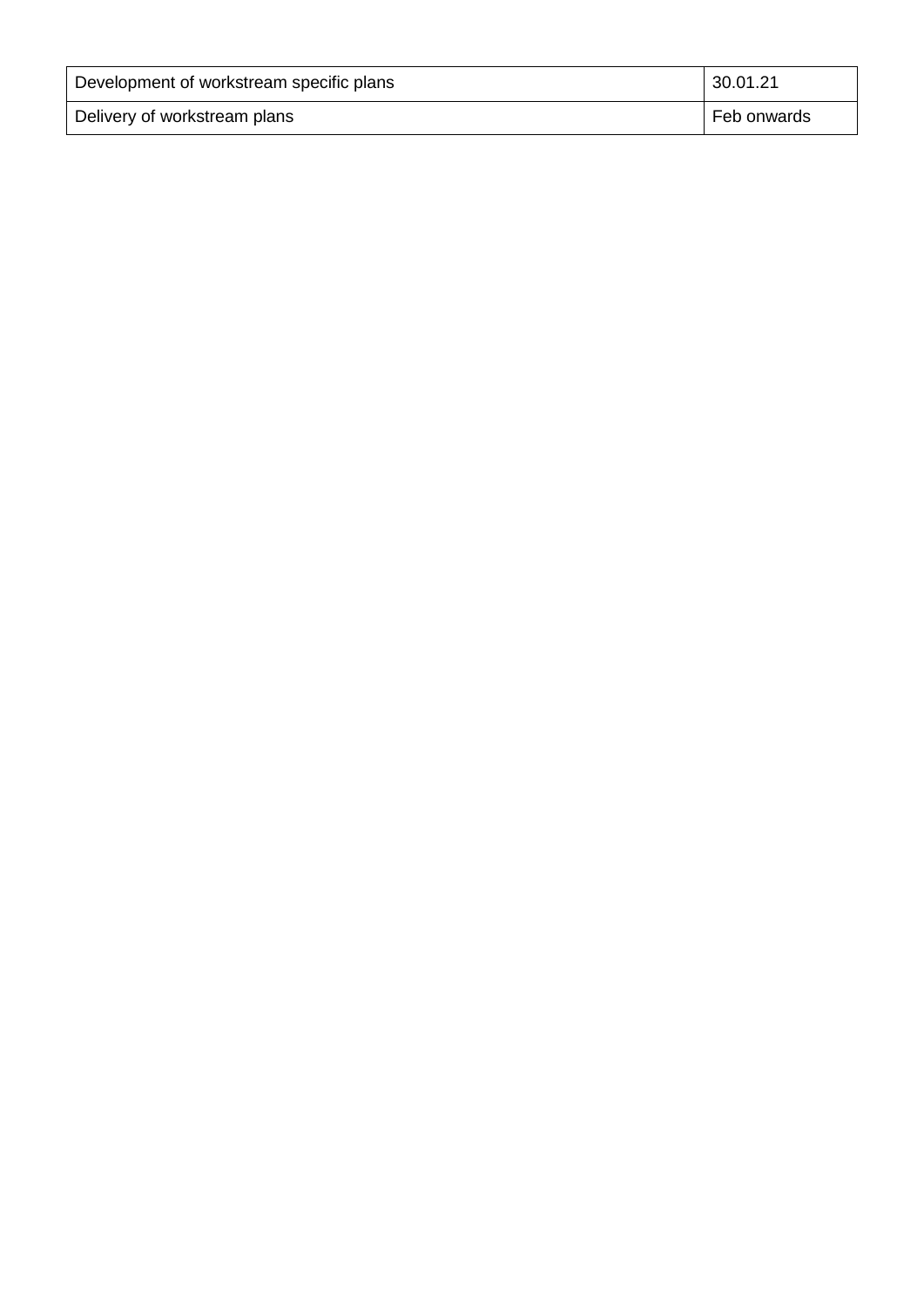| Development of workstream specific plans | 30.01.21    |
|------------------------------------------|-------------|
| Delivery of workstream plans             | Feb onwards |